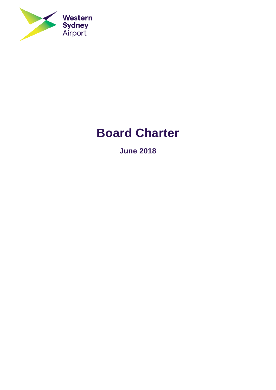

# **Board Charter**

**June 2018**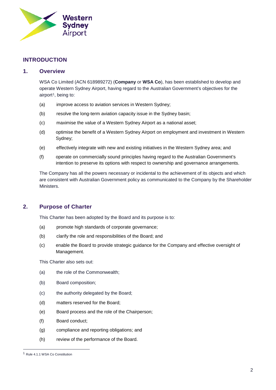

# **INTRODUCTION**

#### **1. Overview**

WSA Co Limited (ACN 618989272) (**Company** or **WSA Co**), has been established to develop and operate Western Sydney Airport, having regard to the Australian Government's objectives for the airport<sup>[1](#page-1-0)</sup>, being to:

- (a) improve access to aviation services in Western Sydney;
- (b) resolve the long-term aviation capacity issue in the Sydney basin;
- (c) maximise the value of a Western Sydney Airport as a national asset;
- (d) optimise the benefit of a Western Sydney Airport on employment and investment in Western Sydney;
- (e) effectively integrate with new and existing initiatives in the Western Sydney area; and
- (f) operate on commercially sound principles having regard to the Australian Government's intention to preserve its options with respect to ownership and governance arrangements.

The Company has all the powers necessary or incidental to the achievement of its objects and which are consistent with Australian Government policy as communicated to the Company by the Shareholder **Ministers** 

# **2. Purpose of Charter**

This Charter has been adopted by the Board and its purpose is to:

- (a) promote high standards of corporate governance;
- (b) clarify the role and responsibilities of the Board; and
- (c) enable the Board to provide strategic guidance for the Company and effective oversight of Management.

This Charter also sets out:

- (a) the role of the Commonwealth;
- (b) Board composition;
- (c) the authority delegated by the Board;
- (d) matters reserved for the Board;
- (e) Board process and the role of the Chairperson;
- (f) Board conduct;
- (g) compliance and reporting obligations; and
- (h) review of the performance of the Board.

<span id="page-1-0"></span> <sup>1</sup> Rule 4.1.1 WSA Co Constitution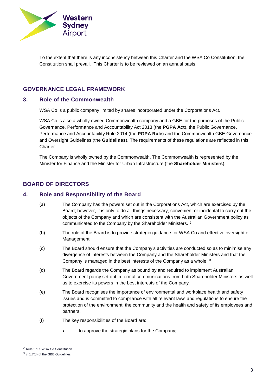

To the extent that there is any inconsistency between this Charter and the WSA Co Constitution, the Constitution shall prevail. This Charter is to be reviewed on an annual basis.

# **GOVERNANCE LEGAL FRAMEWORK**

#### **3. Role of the Commonwealth**

WSA Co is a public company limited by shares incorporated under the Corporations Act.

WSA Co is also a wholly owned Commonwealth company and a GBE for the purposes of the Public Governance, Performance and Accountability Act 2013 (the **PGPA Act**), the Public Governance, Performance and Accountability Rule 2014 (the **PGPA Rule**) and the Commonwealth GBE Governance and Oversight Guidelines (the **Guidelines**). The requirements of these regulations are reflected in this Charter.

The Company is wholly owned by the Commonwealth. The Commonwealth is represented by the Minister for Finance and the Minister for Urban Infrastructure (the **Shareholder Ministers**).

# **BOARD OF DIRECTORS**

#### **4. Role and Responsibility of the Board**

- (a) The Company has the powers set out in the Corporations Act, which are exercised by the Board; however, it is only to do all things necessary, convenient or incidental to carry out the objects of the Company and which are consistent with the Australian Government policy as communicated to the Company by the Shareholder Ministers. [2](#page-2-0)
- (b) The role of the Board is to provide strategic guidance for WSA Co and effective oversight of Management.
- (c) The Board should ensure that the Company's activities are conducted so as to minimise any divergence of interests between the Company and the Shareholder Ministers and that the Company is managed in the best interests of the Company as a whole. [3](#page-2-1)
- (d) The Board regards the Company as bound by and required to implement Australian Government policy set out in formal communications from both Shareholder Ministers as well as to exercise its powers in the best interests of the Company.
- (e) The Board recognises the importance of environmental and workplace health and safety issues and is committed to compliance with all relevant laws and regulations to ensure the protection of the environment, the community and the health and safety of its employees and partners.
- (f) The key responsibilities of the Board are:
	- to approve the strategic plans for the Company;

<span id="page-2-0"></span> <sup>2</sup> Rule 5.1.1 WSA Co Constitution

<span id="page-2-1"></span><sup>3</sup> cl 1.7(d) of the GBE Guidelines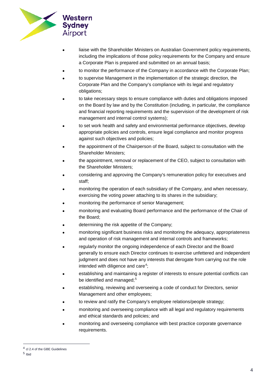

- liaise with the Shareholder Ministers on Australian Government policy requirements, including the implications of those policy requirements for the Company and ensure a Corporate Plan is prepared and submitted on an annual basis;
- to monitor the performance of the Company in accordance with the Corporate Plan;
- to supervise Management in the implementation of the strategic direction, the Corporate Plan and the Company's compliance with its legal and regulatory obligations;
- to take necessary steps to ensure compliance with duties and obligations imposed on the Board by law and by the Constitution (including, in particular, the compliance and financial reporting requirements and the supervision of the development of risk management and internal control systems);
- to set work health and safety and environmental performance objectives, develop appropriate policies and controls, ensure legal compliance and monitor progress against such objectives and policies;
- the appointment of the Chairperson of the Board, subject to consultation with the Shareholder Ministers;
- the appointment, removal or replacement of the CEO, subject to consultation with the Shareholder Ministers;
- considering and approving the Company's remuneration policy for executives and staff;
- monitoring the operation of each subsidiary of the Company, and when necessary, exercising the voting power attaching to its shares in the subsidiary;
- monitoring the performance of senior Management;
- monitoring and evaluating Board performance and the performance of the Chair of the Board;
- determining the risk appetite of the Company;
- monitoring significant business risks and monitoring the adequacy, appropriateness and operation of risk management and internal controls and frameworks;
- regularly monitor the ongoing independence of each Director and the Board generally to ensure each Director continues to exercise unfettered and independent judgment and does not have any interests that derogate from carrying out the role intended with diligence and care<sup>[4](#page-3-0)</sup>;
- establishing and maintaining a register of interests to ensure potential conflicts can be identified and managed;<sup>[5](#page-3-1)</sup>
- establishing, reviewing and overseeing a code of conduct for Directors, senior Management and other employees;
- to review and ratify the Company's employee relations/people strategy;
- monitoring and overseeing compliance with all legal and regulatory requirements and ethical standards and policies; and
- monitoring and overseeing compliance with best practice corporate governance requirements.

<span id="page-3-0"></span> <sup>4</sup> cl 2.4 of the GBE Guidelines

<span id="page-3-1"></span><sup>5</sup> Ibid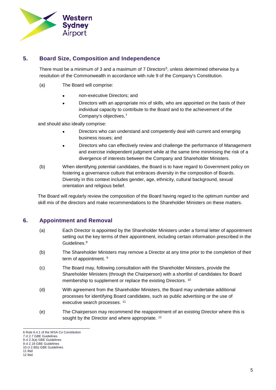

# **5. Board Size, Composition and Independence**

There must be a minimum of 3 and a maximum of 7 Directors<sup>6</sup>, unless determined otherwise by a resolution of the Commonwealth in accordance with rule 9 of the Company's Constitution.

- (a) The Board will comprise:
	- non-executive Directors; and
	- Directors with an appropriate mix of skills, who are appointed on the basis of their individual capacity to contribute to the Board and to the achievement of the Company's objectives,[7](#page-4-1)

and should also ideally comprise:

- Directors who can understand and competently deal with current and emerging business issues; and
- Directors who can effectively review and challenge the performance of Management and exercise independent judgment while at the same time minimising the risk of a divergence of interests between the Company and Shareholder Ministers.
- (b) When identifying potential candidates, the Board is to have regard to Government policy on fostering a governance culture that embraces diversity in the composition of Boards. Diversity in this context includes gender, age, ethnicity, cultural background, sexual orientation and religious belief.

The Board will regularly review the composition of the Board having regard to the optimum number and skill mix of the directors and make recommendations to the Shareholder Ministers on these matters.

# **6. Appointment and Removal**

- (a) Each Director is appointed by the Shareholder Ministers under a formal letter of appointment setting out the key terms of their appointment, including certain information prescribed in the Guidelines.<sup>[8](#page-4-2)</sup>
- (b) The Shareholder Ministers may remove a Director at any time prior to the completion of their term of appointment. [9](#page-4-3)
- (c) The Board may, following consultation with the Shareholder Ministers, provide the Shareholder Ministers (through the Chairperson) with a shortlist of candidates for Board membership to supplement or replace the existing Directors. <sup>[10](#page-4-4)</sup>
- (d) With agreement from the Shareholder Ministers, the Board may undertake additional processes for identifying Board candidates, such as public advertising or the use of executive search processes. <sup>[11](#page-4-5)</sup>
- (e) The Chairperson may recommend the reappointment of an existing Director where this is sought by the Director and where appropriate. <sup>[12](#page-4-6)</sup>

<span id="page-4-0"></span> <sup>6</sup> Rule 6.4.1 of the WSA Co Constitution

<span id="page-4-1"></span><sup>7</sup> cl 2.7 GBE Guidelines

<span id="page-4-2"></span><sup>8</sup> cl 2.3(a) GBE Guidelines 9 cl 2.18 GBE Guidelines

<span id="page-4-3"></span><sup>10</sup> cl 2.8(b) GBE Guidelines

<span id="page-4-4"></span><sup>11</sup> Ibid

<span id="page-4-6"></span><span id="page-4-5"></span><sup>12</sup> Ibid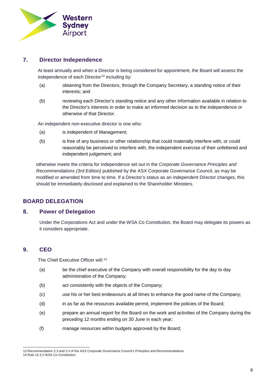

## **7. Director Independence**

At least annually and when a Director is being considered for appointment, the Board will assess the independence of each Director<sup>[13](#page-5-0)</sup> including by:

- (a) obtaining from the Directors, through the Company Secretary, a standing notice of their interests; and
- (b) reviewing each Director's standing notice and any other information available in relation to the Director's interests in order to make an informed decision as to the independence or otherwise of that Director.

An independent non-executive director is one who:

- (a) is independent of Management;
- (b) is free of any business or other relationship that could materially interfere with, or could reasonably be perceived to interfere with, the independent exercise of their unfettered and independent judgement; and

otherwise meets the criteria for independence set out in the *Corporate Governance Principles and Recommendations (3rd Edition)* published by the ASX Corporate Governance Council, as may be modified or amended from time to time. If a Director's status as an independent Director changes, this should be immediately disclosed and explained to the Shareholder Ministers.

## **BOARD DELEGATION**

#### **8. Power of Delegation**

Under the Corporations Act and under the WSA Co Constitution, the Board may delegate its powers as it considers appropriate.

## **9. CEO**

The Chief Executive Officer will:<sup>[14](#page-5-1)</sup>

- (a) be the chief executive of the Company with overall responsibility for the day to day administration of the Company;
- (b) act consistently with the objects of the Company;
- (c) use his or her best endeavours at all times to enhance the good name of the Company;
- (d) in as far as the resources available permit, implement the policies of the Board;
- (e) prepare an annual report for the Board on the work and activities of the Company during the preceding 12 months ending on 30 June in each year;
- (f) manage resources within budgets approved by the Board;

<span id="page-5-1"></span><span id="page-5-0"></span> <sup>13</sup> Recommendation 2.3 and 2.4 of the ASX Corporate Governance Council's Principles and Recommendations 14 Rule 13.3.2 WSA Co Constitution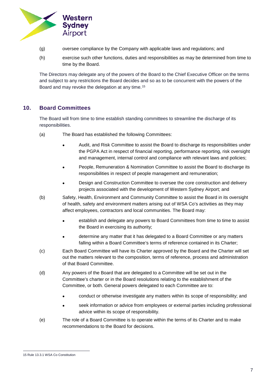

- (g) oversee compliance by the Company with applicable laws and regulations; and
- (h) exercise such other functions, duties and responsibilities as may be determined from time to time by the Board.

The Directors may delegate any of the powers of the Board to the Chief Executive Officer on the terms and subject to any restrictions the Board decides and so as to be concurrent with the powers of the Board and may revoke the delegation at any time.[15](#page-6-0)

## **10. Board Committees**

The Board will from time to time establish standing committees to streamline the discharge of its responsibilities.

- (a) The Board has established the following Committees:
	- Audit, and Risk Committee to assist the Board to discharge its responsibilities under the PGPA Act in respect of financial reporting, performance reporting, risk oversight and management, internal control and compliance with relevant laws and policies;
	- People, Remuneration & Nomination Committee to assist the Board to discharge its responsibilities in respect of people management and remuneration;
	- Design and Construction Committee to oversee the core construction and delivery projects associated with the development of Western Sydney Airport; and
- (b) Safety, Health, Environment and Community Committee to assist the Board in its oversight of health, safety and environment matters arising out of WSA Co's activities as they may affect employees, contractors and local communities. The Board may:
	- establish and delegate any powers to Board Committees from time to time to assist the Board in exercising its authority;
	- determine any matter that it has delegated to a Board Committee or any matters falling within a Board Committee's terms of reference contained in its Charter;
- (c) Each Board Committee will have its Charter approved by the Board and the Charter will set out the matters relevant to the composition, terms of reference, process and administration of that Board Committee.
- (d) Any powers of the Board that are delegated to a Committee will be set out in the Committee's charter or in the Board resolutions relating to the establishment of the Committee, or both. General powers delegated to each Committee are to:
	- conduct or otherwise investigate any matters within its scope of responsibility; and
	- seek information or advice from employees or external parties including professional advice within its scope of responsibility.
- (e) The role of a Board Committee is to operate within the terms of its Charter and to make recommendations to the Board for decisions.

<span id="page-6-0"></span> <sup>15</sup> Rule 13.3.1 WSA Co Constitution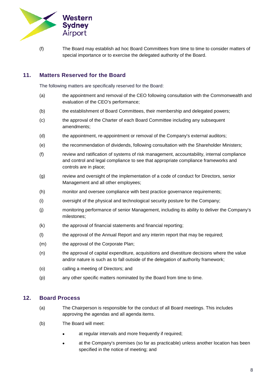

(f) The Board may establish ad hoc Board Committees from time to time to consider matters of special importance or to exercise the delegated authority of the Board.

# **11. Matters Reserved for the Board**

The following matters are specifically reserved for the Board:

- (a) the appointment and removal of the CEO following consultation with the Commonwealth and evaluation of the CEO's performance;
- (b) the establishment of Board Committees, their membership and delegated powers;
- (c) the approval of the Charter of each Board Committee including any subsequent amendments;
- (d) the appointment, re-appointment or removal of the Company's external auditors;
- (e) the recommendation of dividends, following consultation with the Shareholder Ministers;
- (f) review and ratification of systems of risk management, accountability, internal compliance and control and legal compliance to see that appropriate compliance frameworks and controls are in place;
- (g) review and oversight of the implementation of a code of conduct for Directors, senior Management and all other employees;
- (h) monitor and oversee compliance with best practice governance requirements;
- (i) oversight of the physical and technological security posture for the Company;
- (j) monitoring performance of senior Management, including its ability to deliver the Company's milestones;
- (k) the approval of financial statements and financial reporting;
- (l) the approval of the Annual Report and any interim report that may be required;
- (m) the approval of the Corporate Plan;
- (n) the approval of capital expenditure, acquisitions and divestiture decisions where the value and/or nature is such as to fall outside of the delegation of authority framework;
- (o) calling a meeting of Directors; and
- (p) any other specific matters nominated by the Board from time to time.

#### **12. Board Process**

- (a) The Chairperson is responsible for the conduct of all Board meetings. This includes approving the agendas and all agenda items.
- (b) The Board will meet:
	- at regular intervals and more frequently if required;
	- at the Company's premises (so far as practicable) unless another location has been specified in the notice of meeting; and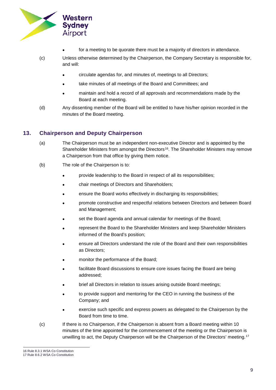

- for a meeting to be quorate there must be a majority of directors in attendance.
- (c) Unless otherwise determined by the Chairperson, the Company Secretary is responsible for, and will:
	- circulate agendas for, and minutes of, meetings to all Directors;
	- take minutes of all meetings of the Board and Committees; and
	- maintain and hold a record of all approvals and recommendations made by the Board at each meeting.
- (d) Any dissenting member of the Board will be entitled to have his/her opinion recorded in the minutes of the Board meeting.

#### **13. Chairperson and Deputy Chairperson**

- (a) The Chairperson must be an independent non-executive Director and is appointed by the Shareholder Ministers from amongst the Directors<sup>[16](#page-8-0)</sup>. The Shareholder Ministers may remove a Chairperson from that office by giving them notice.
- (b) The role of the Chairperson is to:
	- provide leadership to the Board in respect of all its responsibilities;
	- chair meetings of Directors and Shareholders;
	- ensure the Board works effectively in discharging its responsibilities;
	- promote constructive and respectful relations between Directors and between Board and Management;
	- set the Board agenda and annual calendar for meetings of the Board;
	- represent the Board to the Shareholder Ministers and keep Shareholder Ministers informed of the Board's position;
	- ensure all Directors understand the role of the Board and their own responsibilities as Directors;
	- monitor the performance of the Board;
	- facilitate Board discussions to ensure core issues facing the Board are being addressed;
	- brief all Directors in relation to issues arising outside Board meetings;
	- to provide support and mentoring for the CEO in running the business of the Company; and
	- exercise such specific and express powers as delegated to the Chairperson by the Board from time to time.
- (c) If there is no Chairperson, if the Chairperson is absent from a Board meeting within 10 minutes of the time appointed for the commencement of the meeting or the Chairperson is unwilling to act, the Deputy Chairperson will be the Chairperson of the Directors' meeting.<sup>[17](#page-8-1)</sup>

 <sup>16</sup> Rule 8.3.1 WSA Co Constitution

<span id="page-8-1"></span><span id="page-8-0"></span><sup>17</sup> Rule 8.6.2 WSA Co Constitution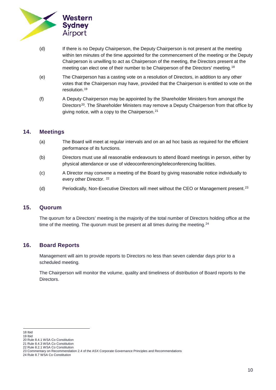

- (d) If there is no Deputy Chairperson, the Deputy Chairperson is not present at the meeting within ten minutes of the time appointed for the commencement of the meeting or the Deputy Chairperson is unwilling to act as Chairperson of the meeting, the Directors present at the meeting can elect one of their number to be Chairperson of the Directors' meeting.<sup>[18](#page-9-0)</sup>
- (e) The Chairperson has a casting vote on a resolution of Directors, in addition to any other votes that the Chairperson may have, provided that the Chairperson is entitled to vote on the resolution.[19](#page-9-1)
- (f) A Deputy Chairperson may be appointed by the Shareholder Ministers from amongst the Directors<sup>20</sup>. The Shareholder Ministers may remove a Deputy Chairperson from that office by giving notice, with a copy to the Chairperson.<sup>[21](#page-9-3)</sup>

## **14. Meetings**

- (a) The Board will meet at regular intervals and on an ad hoc basis as required for the efficient performance of its functions.
- (b) Directors must use all reasonable endeavours to attend Board meetings in person, either by physical attendance or use of videoconferencing/teleconferencing facilities.
- (c) A Director may convene a meeting of the Board by giving reasonable notice individually to every other Director. <sup>[22](#page-9-4)</sup>
- (d) Periodically, Non-Executive Directors will meet without the CEO or Management present.[23](#page-9-5)

#### **15. Quorum**

The quorum for a Directors' meeting is the majority of the total number of Directors holding office at the time of the meeting. The quorum must be present at all times during the meeting. $24$ 

## **16. Board Reports**

Management will aim to provide reports to Directors no less than seven calendar days prior to a scheduled meeting.

The Chairperson will monitor the volume, quality and timeliness of distribution of Board reports to the Directors.

<span id="page-9-0"></span> <sup>18</sup> Ibid

<span id="page-9-1"></span><sup>19</sup> Ibid

<span id="page-9-2"></span><sup>20</sup> Rule 8.4.1 WSA Co Constitution 21 Rule 8.4.3 WSA Co Constitution

<span id="page-9-4"></span><span id="page-9-3"></span><sup>22</sup> Rule 8.2.1 WSA Co Constitution

<sup>23</sup> Commentary on Recommendation 2.4 of the ASX Corporate Governance Principles and Recommendations

<span id="page-9-6"></span><span id="page-9-5"></span><sup>24</sup> Rule 8.7 WSA Co Constitution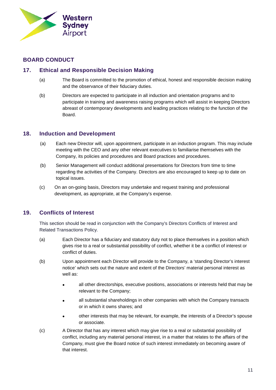

# **BOARD CONDUCT**

# **17. Ethical and Responsible Decision Making**

- (a) The Board is committed to the promotion of ethical, honest and responsible decision making and the observance of their fiduciary duties.
- (b) Directors are expected to participate in all induction and orientation programs and to participate in training and awareness raising programs which will assist in keeping Directors abreast of contemporary developments and leading practices relating to the function of the Board.

## **18. Induction and Development**

- (a) Each new Director will, upon appointment, participate in an induction program. This may include meeting with the CEO and any other relevant executives to familiarise themselves with the Company, its policies and procedures and Board practices and procedures.
- (b) Senior Management will conduct additional presentations for Directors from time to time regarding the activities of the Company. Directors are also encouraged to keep up to date on topical issues.
- (c) On an on-going basis, Directors may undertake and request training and professional development, as appropriate, at the Company's expense.

# **19. Conflicts of Interest**

This section should be read in conjunction with the Company's Directors Conflicts of Interest and Related Transactions Policy.

- (a) Each Director has a fiduciary and statutory duty not to place themselves in a position which gives rise to a real or substantial possibility of conflict, whether it be a conflict of interest or conflict of duties.
- (b) Upon appointment each Director will provide to the Company, a 'standing Director's interest notice' which sets out the nature and extent of the Directors' material personal interest as well as:
	- all other directorships, executive positions, associations or interests held that may be relevant to the Company;
	- all substantial shareholdings in other companies with which the Company transacts or in which it owns shares; and
	- other interests that may be relevant, for example, the interests of a Director's spouse or associate.
- (c) A Director that has any interest which may give rise to a real or substantial possibility of conflict, including any material personal interest, in a matter that relates to the affairs of the Company, must give the Board notice of such interest immediately on becoming aware of that interest.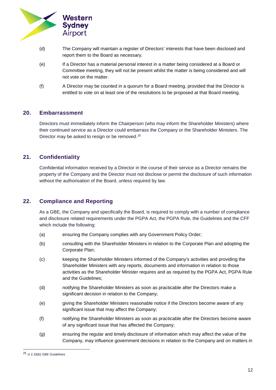

- (d) The Company will maintain a register of Directors' interests that have been disclosed and report them to the Board as necessary.
- (e) If a Director has a material personal interest in a matter being considered at a Board or Committee meeting, they will not be present whilst the matter is being considered and will not vote on the matter.
- (f) A Director may be counted in a quorum for a Board meeting, provided that the Director is entitled to vote on at least one of the resolutions to be proposed at that Board meeting.

#### **20. Embarrassment**

Directors must immediately inform the Chairperson (who may inform the Shareholder Ministers) where their continued service as a Director could embarrass the Company or the Shareholder Ministers. The Director may be asked to resign or be removed.<sup>[25](#page-11-0)</sup>

## **21. Confidentiality**

Confidential information received by a Director in the course of their service as a Director remains the property of the Company and the Director must not disclose or permit the disclosure of such information without the authorisation of the Board, unless required by law.

## **22. Compliance and Reporting**

As a GBE, the Company and specifically the Board, is required to comply with a number of compliance and disclosure related requirements under the PGPA Act, the PGPA Rule, the Guidelines and the CFF which include the following:

- (a) ensuring the Company complies with any Government Policy Order;
- (b) consulting with the Shareholder Ministers in relation to the Corporate Plan and adopting the Corporate Plan;
- (c) keeping the Shareholder Ministers informed of the Company's activities and providing the Shareholder Ministers with any reports, documents and information in relation to those activities as the Shareholder Minister requires and as required by the PGPA Act, PGPA Rule and the Guidelines;
- (d) notifying the Shareholder Ministers as soon as practicable after the Directors make a significant decision in relation to the Company;
- (e) giving the Shareholder Ministers reasonable notice if the Directors become aware of any significant issue that may affect the Company;
- (f) notifying the Shareholder Ministers as soon as practicable after the Directors become aware of any significant issue that has affected the Company;
- (g) ensuring the regular and timely disclosure of information which may affect the value of the Company, may influence government decisions in relation to the Company and on matters in

<span id="page-11-0"></span> <sup>25</sup> cl 2.18(b) GBE Guidelines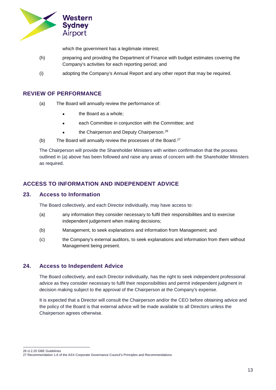

which the government has a legitimate interest;

- (h) preparing and providing the Department of Finance with budget estimates covering the Company's activities for each reporting period; and
- (i) adopting the Company's Annual Report and any other report that may be required.

## **REVIEW OF PERFORMANCE**

- (a) The Board will annually review the performance of:
	- the Board as a whole;
	- each Committee in conjunction with the Committee; and
	- the Chairperson and Deputy Chairperson.<sup>[26](#page-12-0)</sup>
- (b) The Board will annually review the processes of the Board. $27$

The Chairperson will provide the Shareholder Ministers with written confirmation that the process outlined in (a) above has been followed and raise any areas of concern with the Shareholder Ministers as required.

# **ACCESS TO INFORMATION AND INDEPENDENT ADVICE**

#### **23. Access to Information**

The Board collectively, and each Director individually, may have access to:

- (a) any information they consider necessary to fulfil their responsibilities and to exercise independent judgement when making decisions;
- (b) Management, to seek explanations and information from Management; and
- (c) the Company's external auditors, to seek explanations and information from them without Management being present.

## **24. Access to Independent Advice**

The Board collectively, and each Director individually, has the right to seek independent professional advice as they consider necessary to fulfil their responsibilities and permit independent judgment in decision making subject to the approval of the Chairperson at the Company's expense.

It is expected that a Director will consult the Chairperson and/or the CEO before obtaining advice and the policy of the Board is that external advice will be made available to all Directors unless the Chairperson agrees otherwise.

<span id="page-12-0"></span>26 cl.2.20 GBE Guidelines

<span id="page-12-1"></span><sup>27</sup> Recommendation 1.6 of the ASX Corporate Governance Council's Principles and Recommendations